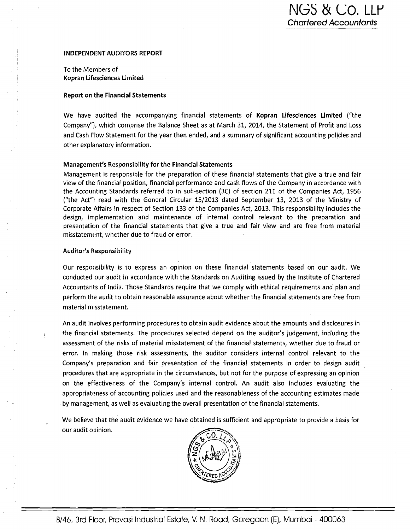-

#### INDEPENDENT AUDITORS REPORT

To the Members of Kopran Lifesciences Limited

#### Report on the Financial Statements

We have audited the accompanying financial statements of Kopran Lifesciences Limited ("the Company"), which comprise the Balance Sheet as at March 31, 2014, the Statement of Profit and I-oss and Cash Flow Statement for the year then ended, and a summary of significant accounting policies and other explanatory information.

#### Management's Responsibility for the Financial Statements

Management is responsible for the preparation of these financial statements that give a true and fair view of the financial position, financial performance and cash flows of the Company in accordance with the Accouriting Standards referred to in sub-section (3C) of section 211 of the Companies Act, 1956 ("the Act") read with the General Circular 1512013 dated September 13, 2013 of the Ministty of Corporate Affairs in respect of Section 133 of the Companies Act, 2013. This responsibility includes the design, implementation and maintenance of internal control relevant to the preparation and presentation of the financial statements that give a true and fair view and are free from material misstatement, whether due to fraud or error.

#### Auditor's Responsibility

Our responsibility is to express an opinion on these financial statements based on our audit. We conducted our audit in accordance with the Standards on Auditing issued by the Institute of Chartered Accountants of India. Those Standards require that we comply with ethical requirements and plan and perform the audit to obtain reasonable assurance about whether the financial statements are free from material misstatement.

An audit involves performing procedures to obtain audit evidence about the amounts and disclosures in the financial statements. The procedures selected depend on the auditor's judgement, including the assessment of the risks of material misstatement of the financial statements, whether due to fraud or error. In making those risk assessments, the auditor considers internal control relevant to the Company's preparation and fair presentation of the financial statements in order to design audit procedures that are appropriate in the circumstances, but not for the purpose of expressing an opinion on the effectiveness of the Company's internal control. An audit also includes evaluating the appropriateness of accounting policies used and the reasonableness of the accounting estimates made by management, as well as evaluating the overall presentation of the financial statements.

We believe that the audit evidence we have obtained is sufficient and appropriate to provide a basis for our audit opinion.

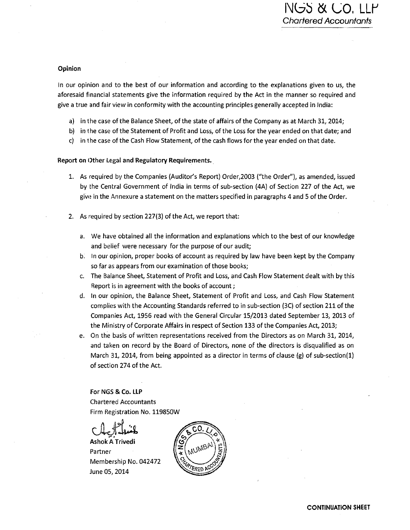## Opinion

In our opinion and to the best of our information and according to the explanations given to us, the aforesaid financial statements give the information required by the Act in the manner so required and give a true and fair view in conformity with the accounting principles generally accepted in India:

- a) in the case of the Balance Sheet, of the state of affairs of the Company as at March 31,2014;
- b) in the case of the Statement of Profit and Loss, of the Loss for the year ended on that date; and
- c) in the case of the Cash Flow Statement, of the cash flows for the year ended on that date.

## Report on Other **liegal** and Regulatory Requirements.

- 1. As required by the Companies (Auditor's Report) Order,2003 ("the Ordet"), as amended, issued by the Central Government of India in terms of sub-section (4A) of Section 227 of the Act, we give in the Annexure a statement on the matters specified in paragraphs 4 and 5 of the Order.
- 2. As required by section 227(3) of the Act, we report that:
	- a. We have obtained all the information and explanations which to the best of our knowledge and belief were necessary for the purpose of our audit;
	- b; In our opinion, proper books of account as required by law have been kept by the Company so far **as** appears from our examination of those books;
	- c. The Balance Sheet, Statement of Profit and Loss, and Cash Flow Statement dealt with by this Report is in agreement with the books of account;
	- d. In our opinion, the Balance Sheet, Statement of Profit and Loss, and Cash Flow Statement complies with the Accounting Standards referred to in sub-section (3C) of section 211 of the Companies Act, 1956 read with the General Circular 15/2013 dated September 13,2013 of the Ministry of Corporate Affairs in respect of Section 133 of the Companies Act, 2013;
	- e. On the basis of written representations received from the Directors as on March 31, 2014, and taken on record by the Board of Directors, none of the directors is disqualified as on March 31, 2014, from being appointed as a director in terms of clause (g) of sub-section(1) of section 274 of the Act.

**For NGS & Co. LLP** Chartered Accountants Firm Registration No. 119850W

**Ashok A Trivedi** Partner Membership No. 042472 June 05,2014

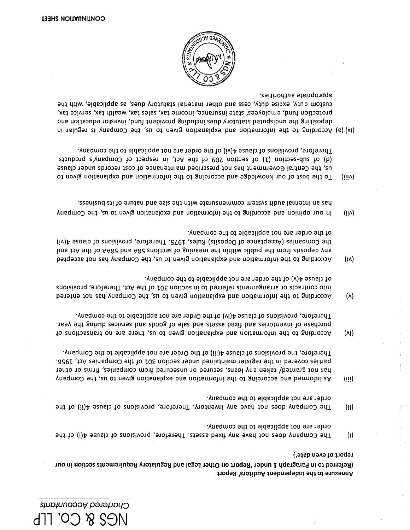Annexure to the independent Auditors' Report

report of even date') (Referred to in Paragraph 1 under 'Report on Other Legal and Regulatory Requirements section in our

- order are not applicable to the company. The Company does not have any fixed assets. Therefore, provisions of clause 4(i) of the  $\langle 1 \rangle$
- order are not applicable to the company. The Company does not have any inventory. Therefore, provisions of clause 4(ii) of the  $(1)$
- Therefore, the provisions of clause 4(iii) of the Order are not applicable to the Company. parties covered in the register maintained under section 301 of the Companies Act, 1956. has not granted/ taken any loans, secured or unsecured from companies, firms or other ynsqmo<sup>2</sup> sha, and according to the information and explanation given to us, the Company  $(III)$
- Therefore, provisions of clause 4(iv) of the Order are not applicable to the company. nsey ent gninb zeoivies bns zboog to elss bns zbezs bexit bns seitotnevni to ezshotuq According to the information and explanation given to us, there are no transactions of  $(N!)$
- of clause  $A(v)$  of the order are not applicable to the company. into contracts or arrangements referred to in section 301 of the Act. Therefore, provisions According to the information and explanation given to us, the Company has not entered  $(\wedge)$
- of the order are not applicable to the company. the Companies (Acceptance of Deposits) Rules, 1975. Therefore, provisions of clause 4(vi) bns 10A 9d1 to AA82 bns A82 enoi1092 to aninsem 9d1 nid1iw oilduq 9d1 mort etieogeb yns According to the information and explanation given to us, the Company has not accepted  $(i)$
- assortized at the surface commensurate with the size and natrie of its business. In our opinion and according to the information and explanation given to us, the Company  $(i)$
- Therefore, provisions of clause 4(vi) of the order are not applicable to the company. (d) of sub-section (1) of section 209 of the Act, in respect of Company's products. us, the Central Government has not prescribed maintenance of cost records under clause To the best of our knowledge and according to the information and explanation given to  $(iiiV)$
- appropriate authorities. custom duty, excise duty, cess and other material statutory dues, as applicable, with the protection fund, employees' state insurance, income tax, sales tax, wealth tax, service tax, bas noiting the undisputed stributory dues including provident fund, investor education and (ix) (a) According to the information and explanation given to us, the Company is regular in

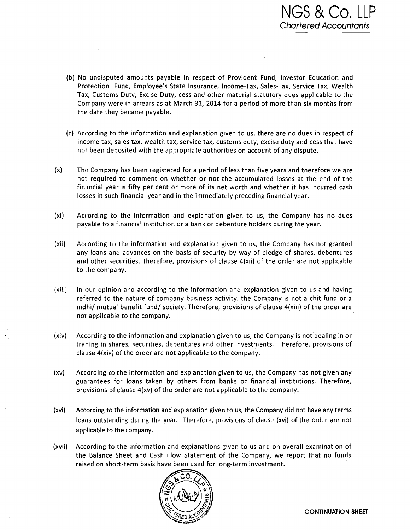- (b) No undisputed amounts payable in respect of Provident Fund, Investor Education and Protection Fund, Employee's State Insurance, Income-Tax, Sales-Tax, Service Tax, Wealth Tax, Customs Duty, Excise Duty, cess and other material statutory dues applicable to the Company were in arrears as at March 31, 2014 for a period of more than six months from the date they became payable.
- (c) According to the information and explanation given to us, there are no dues in respect of income tax, sales tax, wealth tax, service tax, customs duty, excise duty and cess that have nor been deposited with the appropriate authorities on account of any dispute.
- (x) The Company has been registered for a period of less than five years and therefore we are not required to comment on whether or not the accumulated losses at the end of the financial year is fifty per cent or more of its net worth and whether it has incurred cash losses in such financial year and in the immediately preceding financial year.
- (xi) According to the information and explanation given to us, the Company has no dues payable to a financial institution or a bank or debenture holders during the year.
- (xii) Acc:ording to the information and explanation given to us, the Company has not granted any loans and advances on the basis of security by way of pledge of shares, debentures and other securities. Therefore, provisions of clause  $4(xii)$  of the order are not applicable to the company.
- (xiii) In our opinion and according to the information and explanation given to us and having referred to the nature of company business activity, the Company is not a chit fund or a nidhi/ mutual benefit fund/ society. Therefore, provisions of clause 4(xiii) of the order are not applicable to the company.
- (xiv) According to the information and explanation given to us, the Company is not dealing in or trading in shares, securities, debentures and other investments. Therefore, provisions of clause 4(xiv) of the order are not applicable to the company.
- (xv) According to the information and explanation given to us, the Company has not given any guarantees for loans taken by others from banks or financial institutions. Therefore, provisions of clause 4(xv) of the order are not applicable to the company.
- (xvi) According to the information and explanation given to us, the Company did not have any terms loans outstanding during the year. Therefore, provisions of clause (xvi) of the order are not applicable to the company.
- (xvii) According to the information and explanations given to us and on overall examination of the Balance Sheet and Cash Flow Statement of the Company, we report that no funds raised on short-term basis have been used for long-term investment.

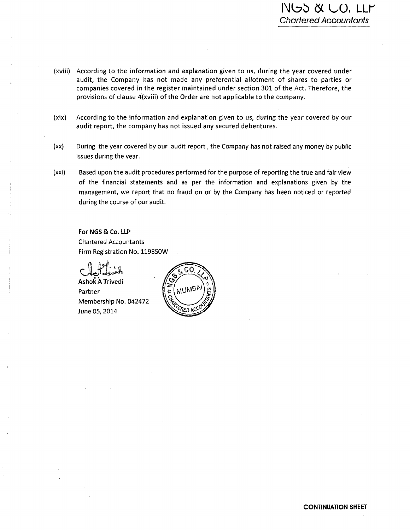- (xviii) According to the information and explanation given to us, during the year covered under audit, the Company has not made any preferential allotment of shares to parties or companies covered in the register maintained under section 301 of the Act. Therefore, the provisions of clause 4(xviii) of the Order are not applicable to the company.
- (xix) According to the information and explanation given to us, during the year covered by our audit report, the company has not issued any secured debentures.
- (xx) During the year covered by our audit report, the Company has not raised any money by public issues during the year.
- (xxi) Based upon the audit procedures performed for the purpose of reporting the true and fair view of the financial statements and as per the information and explanations given by the management, we report that no fraud on or by the Company has been noticed or reported during the course of our audit.

For NGS & Co. LLP Chartered Accountants Firm Registration No. 11985OW

~shoi *h* Trivedi Partner Membership No. 042472 June 05,2014

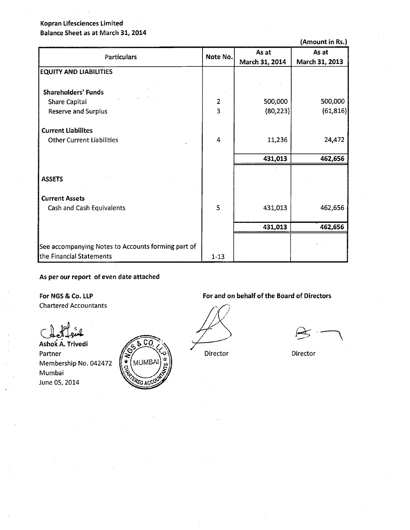# **Kopran Lifesciences Limited Balance Sheet as at March 31,2014**

**(Amount in Rs.)** 

| Particulars                                        | Note No.                | As at<br>March 31, 2014 | As at<br>March 31, 2013 |
|----------------------------------------------------|-------------------------|-------------------------|-------------------------|
| <b>EQUITY AND LIABILITIES</b>                      |                         |                         |                         |
| <b>Shareholders' Funds</b>                         |                         |                         |                         |
| <b>Share Capital</b>                               | $\overline{2}$          | 500,000                 | 500,000                 |
| <b>Reserve and Surplus</b>                         | $\overline{\mathbf{3}}$ | (80, 223)               | (61, 816)               |
| <b>Current Liabilites</b>                          |                         |                         |                         |
| <b>Other Current Liabilities</b>                   | 4                       | 11,236                  | 24,472                  |
|                                                    |                         | 431,013                 | 462,656                 |
|                                                    |                         |                         |                         |
| <b>ASSETS</b>                                      |                         |                         |                         |
| <b>Current Assets</b>                              |                         |                         |                         |
| Cash and Cash Equivalents                          | 5                       | 431,013                 | 462,656                 |
|                                                    |                         | 431,013                 | 462,656                 |
|                                                    |                         |                         |                         |
| See accompanying Notes to Accounts forming part of |                         |                         |                         |
| the Financial Statements                           | $1 - 13$                |                         |                         |

**As per our report of even date attached** 

**Foe MGS** & **Co. LLP**  Chartered Accountants

**~shoi** A. **Trivedi**  Partner Membership No. Mumbai June 05,2014



# For and on behalf of the Board of Directors

#'

Director Director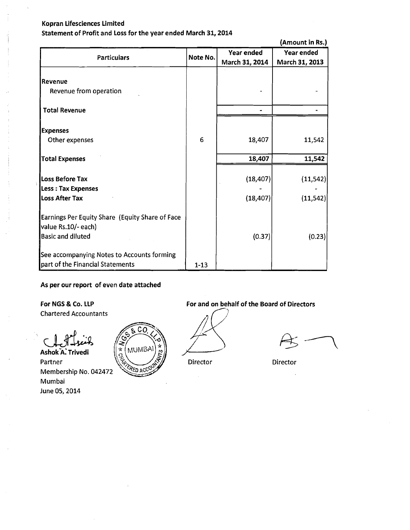**Statement of Profit and Loss for the year ended March 31,2014** 

<sup>1</sup>**(Amount in Rs.** 

| <b>Particulars</b>                              | Note No. | Year ended     | Year ended<br>March 31, 2013 |
|-------------------------------------------------|----------|----------------|------------------------------|
|                                                 |          | March 31, 2014 |                              |
| Revenue                                         |          |                |                              |
| Revenue from operation                          |          |                |                              |
|                                                 |          |                |                              |
| <b>Total Revenue</b>                            |          |                |                              |
|                                                 |          |                |                              |
| <b>Expenses</b>                                 |          |                |                              |
| Other expenses                                  | 6        | 18,407         | 11,542                       |
| <b>Total Expenses</b>                           |          | 18,407         | 11,542                       |
|                                                 |          |                |                              |
| Loss Before Tax                                 |          | (18, 407)      | (11, 542)                    |
| <b>Less: Tax Expenses</b>                       |          |                |                              |
| <b>Loss After Tax</b>                           |          | (18, 407)      | (11, 542)                    |
|                                                 |          |                |                              |
| Earnings Per Equity Share (Equity Share of Face |          |                |                              |
| value Rs.10/- each)                             |          |                |                              |
| <b>Basic and diluted</b>                        |          | (0.37)         | (0.23)                       |
|                                                 |          |                |                              |
| See accompanying Notes to Accounts forming      |          |                |                              |
| part of the Financial Statements                | $1 - 13$ |                |                              |

# **As per our report of even date attached**

CΩ

**MUMB** 

ľ۰

Chartered Accountants

 $\star$ Ashok<sup>'</sup>A. Trivedi Partner Director<br>Membership No. 042472 Membership No. 042472 Mumbai June 05,2014



Director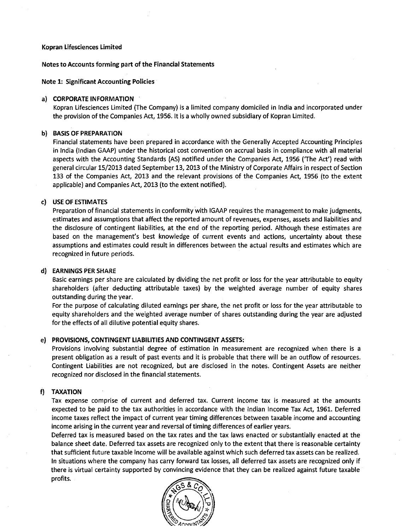#### Notes to Accounts forming part of the Financial Statements

Note 1: Significant Accounting Policies

#### a) CORPORATE INFORMATION

Kopran Lifesciences Limited (The Company) is a limited company domiciled in lndia and incorporated under the provision of the Companies Act, 1956. It is a wholly owned subsidiary of Kopran Limited.

#### **b]** BASIS OF PREPARATION

Financial statements have been prepared in accordance with the Generally Accepted Accounting Principles in lndia (Indian GAAP) under the historical cost convention on accrual basis in compliance with all material aspects with the Accounting Standards (AS) notified under the Companies Act, 1956 ('The Act') read with general circular 15/2013 dated September 13,2013 of the Ministry of Corporate Affairs in respect of Section 133 of the Companies Act, 2013 and the relevant provisions of the Companies Act, 1956 (to the extent applicable) and Companies Act, 2013 (to the extent notified).

## c) USE OF ESTIMATES

Preparation of financial statements in conformity with lGAAP requires the management to make judgments, estimates and assumptions that affect the reported amount of revenues, expenses, assets and liabilities and the disclosure of contingent liabilities, at the end of the reporting period. Although these estimates are based on the management's best knowledge of current events and actions, uncertainty about these assumptions and estimates could result in differences between the actual results and estimates which are recognized in future periods.

#### d) EARNINGS PER SHARE

Basic earnings per share are calculated by dividing the net profit or loss for the year attributable to equity shareholders (after deducting attributable taxes) by the weighted average number of equity shares outstanding during the year.

For the purpose of calculating diluted earnings per share, the net profit or loss for the year attributable to equity shareholders and the'weighted average number of shares outstanding during the year are adjusted for the effects of all dilutive potential equity shares.

#### e) PROVISIONS, CONTINGENT LIABILITIES AND CONTINGENT ASSETS:

Provisions involving substantial degree of estimation in measurement are recognized when there is a present obligation as a result of past events and it is probable that there will be an outflow of resources. Contingent Liabilities are not recognized, but are disclosed in the notes. Contingent Assets are neither recognized nor disclosed in the financial statements.

#### f) TAXATION

Tax expense comprise of current and deferred tax. Current income tax is measured at the amounts expected to be paid to the tax authorities in accordance with the Indian Income Tax Act, 1961. Deferred income taxes reflect the impact of current year timing differences between taxable income and accounting income arising in the current year and reversal of timing differences of earlier years.

Deferred tax is measured based on the tax rates and the tax laws enacted or substantially enacted at the balance sheet date. Deferred tax assets are recognized only to the extent that there is reasonable certainty that sufficient future taxable income will be available against which such deferred tax assets can be realized. In situations where the company has carry forward tax losses, all deferred tax assets are recognized only if there is virtual certainty supported by convincing evidence that they can be realized against future taxable profits.

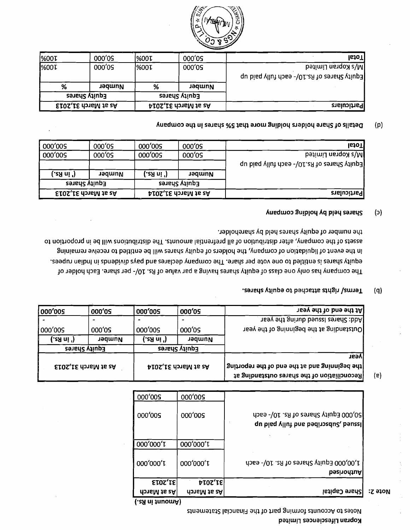Notes to Accounts throug part of the Financial Statements

| $12$ ato $M$ | <b>Share Capital</b>                                                         | <b>PIOZ'IE</b><br>donaM js zA | EIOZ'TE<br>As at March |
|--------------|------------------------------------------------------------------------------|-------------------------------|------------------------|
|              | 1,00,000 Equity Shares of Rs. 10/- each<br>bəsinontuA                        | 000'000'T                     | 000'000'L              |
|              |                                                                              | 000'000'T                     | 000'000'               |
|              | 50,000 Equity Shares of Rs. 10/- each<br>qu bisq yllut bns bedinedu2, beusel | 000'005                       | 000'005                |
|              |                                                                              | 000'005                       | 000'005                |

| <b>Jeev end of the year</b>                                                                    | 000'09              | 000'005     | 000'05                      | 000'005     |
|------------------------------------------------------------------------------------------------|---------------------|-------------|-----------------------------|-------------|
| leave shares issued during the year                                                            |                     |             |                             |             |
| <b>Joutstanding at the beginning of the year</b>                                               | 000'05              | 000'005     | 000'09                      | 000'005     |
|                                                                                                | Number              | ('sЯ ni '). | Number                      | (.aa ni '). |
|                                                                                                | Equity Shares       |             | Equity Shares               |             |
| <b>Treav</b>                                                                                   |                     |             |                             |             |
| Snithoqen ent to bne ent ts bns gninniged enti<br>fReconciliation of the shares outstanding at | As at March 31,2014 |             | <b>EIOS, IE dateM is 2A</b> |             |

#### Terms/ rights attached to equity shares.  $(q)$

the number of equity shares held by shareholder. assets of the company, after distribution of all prefrential amounts. The distribution ionil be in proportion to In the event of liquidation of company, the holders of equity shares will be entitled to receive remaining equity shares is entitled to one vote per share. The company declares and pays dividends in Indian rupees. The company has only one class of equity shares having a par value of Rs. 10/- per share. Each holder of

#### Shares held by holding company  $(c)$

| Particulars                                  |               | <b>ELOS, I.E rional 31, 2013</b><br>As at March 31,2014 |               |            |
|----------------------------------------------|---------------|---------------------------------------------------------|---------------|------------|
|                                              | Equity Shares |                                                         | Equity Shares |            |
|                                              | Number        | (. in Rs.)                                              | Number        | (.cЯ ni ') |
| Equity Shares of Rs.10) - each fully paid up |               |                                                         |               |            |
| N/s Kopran Limited                           | 000'05        | 000'005                                                 | 000'05        | 000'005    |
| <b>IstoT</b>                                 | 000'0S        | 000'005                                                 | 000'05        | 000'005    |

#### Details of Share holders holding more that 5% shares in the company  $(p)$

| Particulars                                    | As at March 31,2014 |      | <b>ELOS, IS changed</b> 31, 2013 |             |
|------------------------------------------------|---------------------|------|----------------------------------|-------------|
|                                                | Equity Shares       |      | Equity Shares                    |             |
|                                                | Number              | %    | Number                           | ℅           |
| <b>qu</b> bisq yllut does -\01.2A to zensilup3 |                     |      |                                  |             |
| <b>betimil nengox s\M</b>                      | 000'05              | %00T | 000'05                           | <b>MOOT</b> |
| $ $ <sub>10</sub> T                            | 000'05              | %00T | 000'05                           | %00T        |



 $(e)$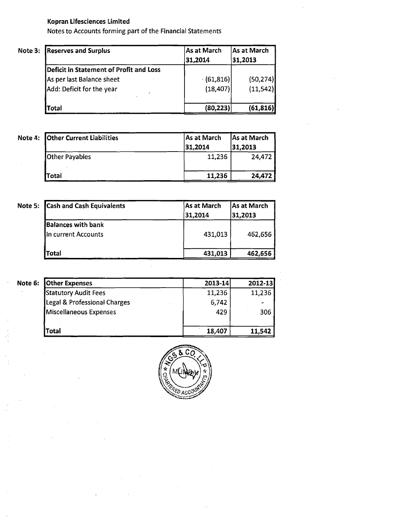Motes to Accounts forming part of the Financial Statements

| Note 3: Reserves and Surplus            | As at March<br>31,2014 | As at March<br>31,2013 |
|-----------------------------------------|------------------------|------------------------|
| Deficit in Statement of Profit and Loss |                        |                        |
| As per last Balance sheet               | (61, 816)              | (50, 274)              |
| Add: Deficit for the year               | (18, 407)              | (11,542)               |
| <b>Total</b>                            | (80, 223)              | (61, 816)              |

| Note 4: Other Current Liabilities | As at March<br>31.2014 | As at March<br>31,2013 |
|-----------------------------------|------------------------|------------------------|
| <b>Other Payables</b>             | 11,236                 | 24,472                 |
| Total                             | 11,236                 | 24,472                 |

| Note 5: Cash and Cash Equivalents                | As at March<br>31,2014 | As at March<br>31,2013 |
|--------------------------------------------------|------------------------|------------------------|
| <b>Balances with bank</b><br>In current Accounts | 431,013                | 462,656                |
| <b>Total</b>                                     | 431,013                | 462,656                |

| Note 6: | <b>Other Expenses</b>        | $2013 - 14$ | 2012-13        |
|---------|------------------------------|-------------|----------------|
|         | <b>Statutory Audit Fees</b>  | 11,236      | 11,236         |
|         | Legal & Professional Charges | 6,742       | $\blacksquare$ |
|         | Miscellaneous Expenses       | 429         | 306            |
|         | Total                        | 18,407      | 11,542         |

 $\overline{\phantom{a}}$ 

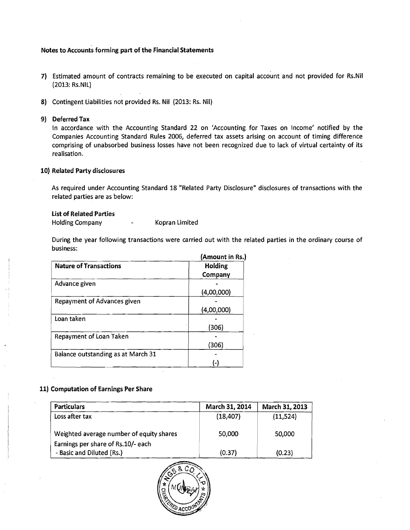#### Notes to Accounts forming part of the Financial Statements

- **7)** Estimated amount of contracts remaining to be executed on capital account and not provided for Rs.Nil (2013: Rs.NIL)
- 8) Contingent Liabilities not provided Rs. Nil (2013: Rs. Nil)

#### 9) Deferred Tax

In accordance with the Accounting Standard 22 on 'Accounting for Taxes on Income' notified by the Companies Accounting Standard Rules 2006, deferred tax assets arising on account of timing difference comprising of unabsorbed business losses have not been recognized due to lack of virtual certainty of its realisation.

#### 10) Related Party disclosures

As required under Accounting Standard 18 "Related Party Disclosure" disclosures of transactions with the related parties are as below:

#### List of Related Parties

Holding Company **Fig. 2** Kopran Limited

During the year following transactions were carried out with the related parties in the ordinary course of business:

|                                    | (Amount in Rs.) |
|------------------------------------|-----------------|
| <b>Nature of Transactions</b>      | Holding         |
|                                    | Company         |
| Advance given                      |                 |
|                                    | (4,00,000)      |
| Repayment of Advances given        |                 |
|                                    | (4,00,000)      |
| Loan taken                         |                 |
|                                    | 306)            |
| Repayment of Loan Taken            |                 |
|                                    | (306)           |
| Balance outstanding as at March 31 |                 |
|                                    | ь               |

## 11) Computation of Earnings Per Share

| <b>Particulars</b>                       | March 31, 2014 | March 31, 2013 |
|------------------------------------------|----------------|----------------|
| Loss after tax                           | (18, 407)      | (11,524)       |
| Weighted average number of equity shares | 50,000         | 50,000         |
| Earnings per share of Rs.10/- each       |                |                |
| - Basic and Diluted (Rs.)                | (0.37)         | (0.23)         |

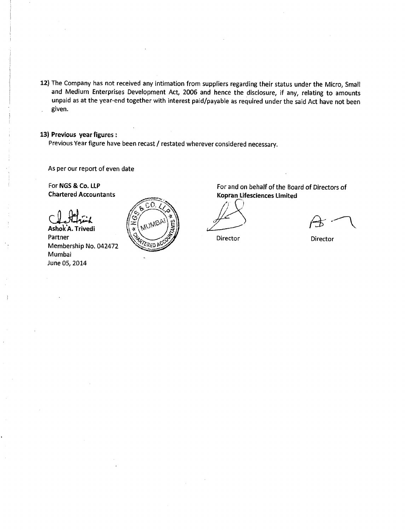12) The Company has not received any intimation from suppliers regarding their status under the Micro, Small and Medium Enterprises Development Act, 2006 and hence the disclosure, if any, relating to amounts unpaid as at the year-end together with interest paid/payable as required under the said Act have not been . given. 

13) Previous year figures :

Previous Year figure have been recast / restated wherever considered necessary.

As per our report of even date

Chartered Accountants

Ashok'A. Trivedi Partner Membership No. 042472 Mumbai June 05,2014



For NGS & Co. **LLP** For and on behalf of the Board of Directors of Kopran Lifesciences Limited **c.** 

Director Director